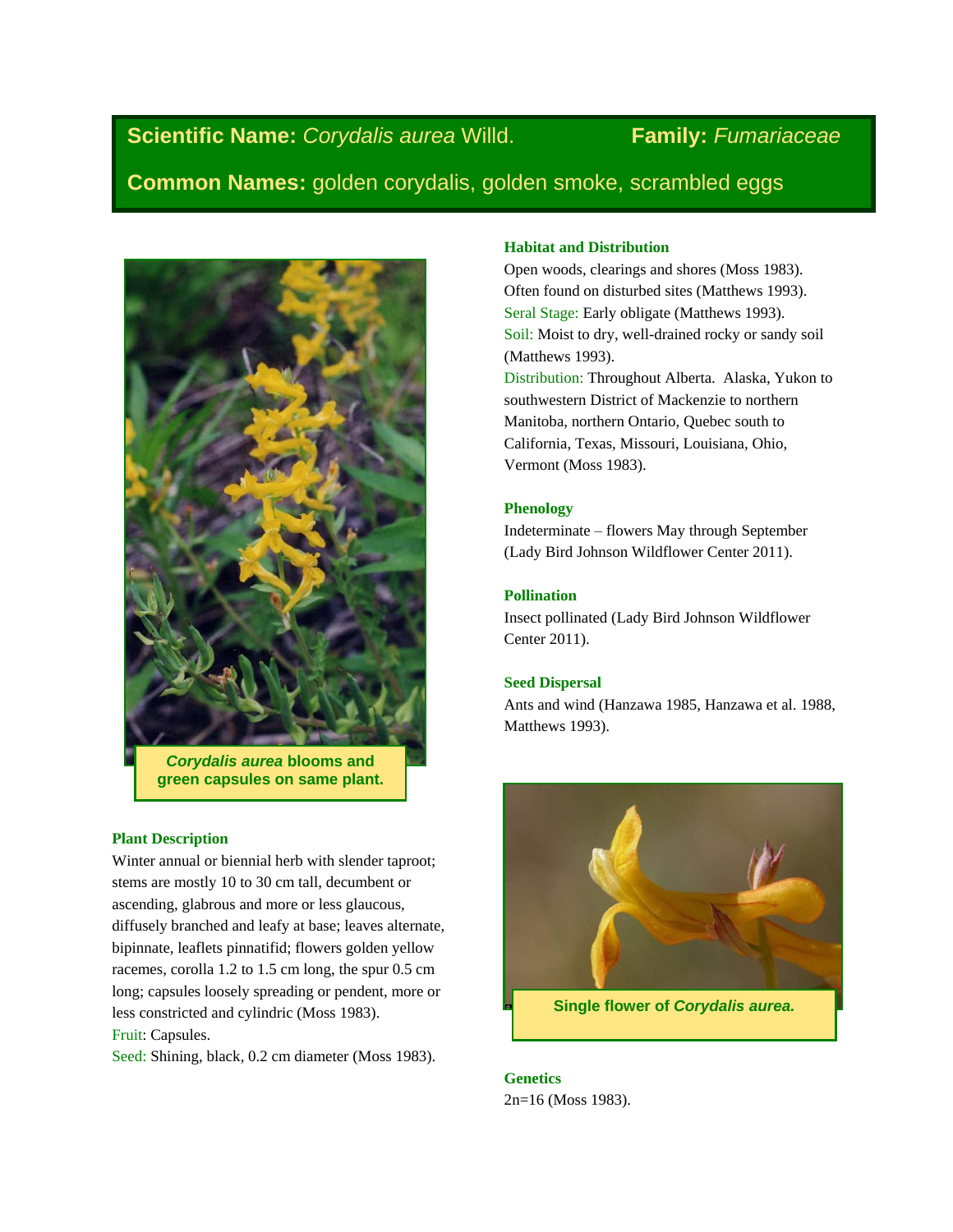# **Scientific Name:** *Corydalis aurea* Willd. **Family:** *Fumariaceae*

**Common Names:** golden corydalis, golden smoke, scrambled eggs



*Corydalis aurea* **blooms and green capsules on same plant.**

# **Plant Description**

Winter annual or biennial herb with slender taproot; stems are mostly 10 to 30 cm tall, decumbent or ascending, glabrous and more or less glaucous, diffusely branched and leafy at base; leaves alternate, bipinnate, leaflets pinnatifid; flowers golden yellow racemes, corolla 1.2 to 1.5 cm long, the spur 0.5 cm long; capsules loosely spreading or pendent, more or less constricted and cylindric (Moss 1983). Fruit: Capsules.

Seed: Shining, black, 0.2 cm diameter (Moss 1983).

# **Habitat and Distribution**

Open woods, clearings and shores (Moss 1983). Often found on disturbed sites (Matthews 1993). Seral Stage: Early obligate (Matthews 1993). Soil: Moist to dry, well-drained rocky or sandy soil (Matthews 1993). Distribution: Throughout Alberta. Alaska, Yukon to southwestern District of Mackenzie to northern Manitoba, northern Ontario, Quebec south to California, Texas, Missouri, Louisiana, Ohio, Vermont (Moss 1983).

# **Phenology**

Indeterminate – flowers May through September (Lady Bird Johnson Wildflower Center 2011).

### **Pollination**

Insect pollinated (Lady Bird Johnson Wildflower Center 2011).

# **Seed Dispersal**

Ants and wind (Hanzawa 1985, Hanzawa et al. 1988, Matthews 1993).



**Single flower of** *Corydalis aurea.*

**Genetics** 2n=16 (Moss 1983).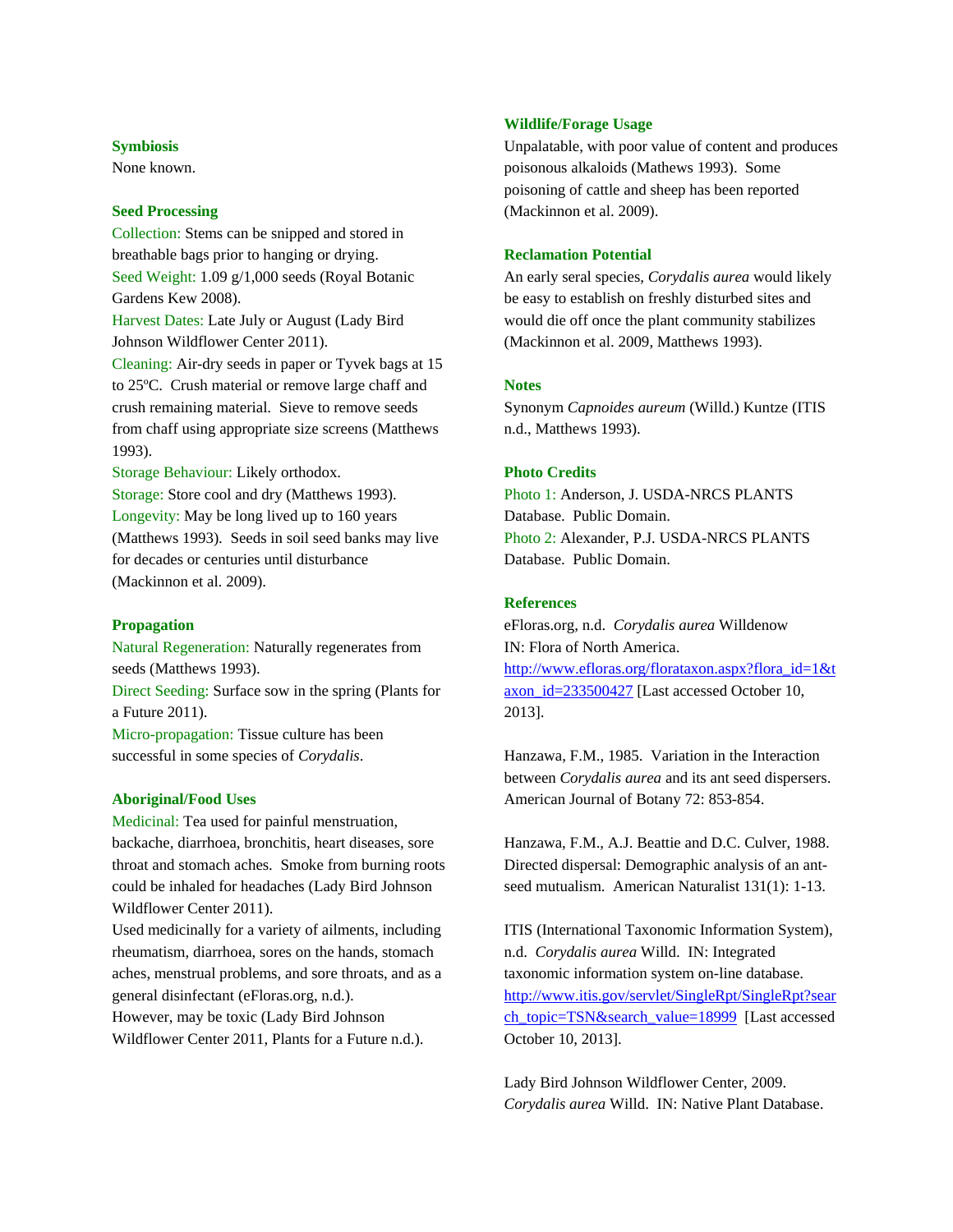# **Symbiosis**

None known.

#### **Seed Processing**

Collection: Stems can be snipped and stored in breathable bags prior to hanging or drying. Seed Weight: 1.09 g/1,000 seeds (Royal Botanic Gardens Kew 2008). Harvest Dates: Late July or August (Lady Bird Johnson Wildflower Center 2011). Cleaning: Air-dry seeds in paper or Tyvek bags at 15 to 25ºC. Crush material or remove large chaff and crush remaining material. Sieve to remove seeds from chaff using appropriate size screens (Matthews 1993).

Storage Behaviour: Likely orthodox. Storage: Store cool and dry (Matthews 1993). Longevity: May be long lived up to 160 years (Matthews 1993). Seeds in soil seed banks may live for decades or centuries until disturbance (Mackinnon et al. 2009).

### **Propagation**

Natural Regeneration: Naturally regenerates from seeds (Matthews 1993).

Direct Seeding: Surface sow in the spring (Plants for a Future 2011).

Micro-propagation: Tissue culture has been successful in some species of *Corydalis*.

#### **Aboriginal/Food Uses**

Medicinal: Tea used for painful menstruation, backache, diarrhoea, bronchitis, heart diseases, sore throat and stomach aches. Smoke from burning roots could be inhaled for headaches (Lady Bird Johnson Wildflower Center 2011).

Used medicinally for a variety of ailments, including rheumatism, diarrhoea, sores on the hands, stomach aches, menstrual problems, and sore throats, and as a general disinfectant (eFloras.org, n.d.).

However, may be toxic (Lady Bird Johnson Wildflower Center 2011, Plants for a Future n.d.).

#### **Wildlife/Forage Usage**

Unpalatable, with poor value of content and produces poisonous alkaloids (Mathews 1993). Some poisoning of cattle and sheep has been reported (Mackinnon et al. 2009).

# **Reclamation Potential**

An early seral species, *Corydalis aurea* would likely be easy to establish on freshly disturbed sites and would die off once the plant community stabilizes (Mackinnon et al. 2009, Matthews 1993).

#### **Notes**

Synonym *Capnoides aureum* (Willd.) Kuntze (ITIS n.d., Matthews 1993).

### **Photo Credits**

Photo 1: Anderson, J. USDA-NRCS PLANTS Database. Public Domain. Photo 2: Alexander, P.J. USDA-NRCS PLANTS Database. Public Domain.

### **References**

eFloras.org, n.d. *Corydalis aurea* Willdenow IN: Flora of North America. [http://www.efloras.org/florataxon.aspx?flora\\_id=1&t](http://www.efloras.org/florataxon.aspx?flora_id=1&taxon_id=233500427) [axon\\_id=233500427](http://www.efloras.org/florataxon.aspx?flora_id=1&taxon_id=233500427) [Last accessed October 10, 2013].

Hanzawa, F.M., 1985. Variation in the Interaction between *Corydalis aurea* and its ant seed dispersers. American Journal of Botany 72: 853-854.

Hanzawa, F.M., A.J. Beattie and D.C. Culver, 1988. Directed dispersal: Demographic analysis of an antseed mutualism. American Naturalist 131(1): 1-13.

ITIS (International Taxonomic Information System), n.d. *Corydalis aurea* Willd. IN: Integrated taxonomic information system on-line database. [http://www.itis.gov/servlet/SingleRpt/SingleRpt?sear](http://www.itis.gov/servlet/SingleRpt/SingleRpt?search_topic=TSN&search_value=18999) [ch\\_topic=TSN&search\\_value=18999](http://www.itis.gov/servlet/SingleRpt/SingleRpt?search_topic=TSN&search_value=18999) [Last accessed October 10, 2013].

Lady Bird Johnson Wildflower Center, 2009. *Corydalis aurea* Willd. IN: Native Plant Database.